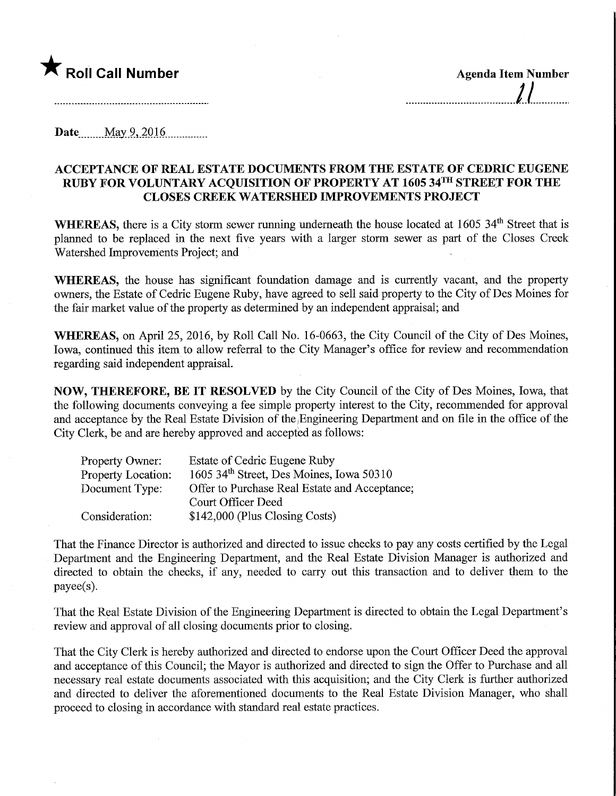## **The Call Number Agents Agenda Item Number**

Date<sub>tt</sub> May 9, 2016

## ACCEPTANCE OF REAL ESTATE DOCUMENTS FROM THE ESTATE OF CEDRIC EUGENE RUBY FOR VOLUNTARY ACQUISITION OF PROPERTY AT 1605 34TH STREET FOR THE CLOSES CREEK WATERSHED IMPROVEMENTS PROJECT

WHEREAS, there is a City storm sewer running underneath the house located at 1605 34<sup>th</sup> Street that is planned to be replaced in the next five years with a larger storm sewer as part of the Closes Creek Watershed Improvements Project; and

WHEREAS, the house has significant foundation damage and is currently vacant, and the property owners, the Estate of Cedric Eugene Ruby, have agreed to sell said property to the City of Des Moines for the fair market value of the property as determined by an independent appraisal; and

WHEREAS, on April 25, 2016, by Roll Call No. 16-0663, the City Council of the City of Des Moines, Iowa, continued this item to allow referral to the City Manager's office for review and recommendation regarding said independent appraisal.

NOW, THEREFORE, BE IT RESOLVED by the City Council of the City of Des Moines, Iowa, that the following documents conveying a fee simple property interest to the City, recommended for approval and acceptance by the Real Estate Division of the, Engineering Department and on file in the office of the City Clerk, be and are hereby approved and accepted as follows:

| Property Owner:           | Estate of Cedric Eugene Ruby                  |
|---------------------------|-----------------------------------------------|
| <b>Property Location:</b> | 1605 34th Street, Des Moines, Iowa 50310      |
| Document Type:            | Offer to Purchase Real Estate and Acceptance; |
|                           | Court Officer Deed                            |
| Consideration:            | \$142,000 (Plus Closing Costs)                |

That the Finance Director is authorized and directed to issue checks to pay any costs certified by the Legal Department and the Engineering Department, and the Real Estate Division Manager is authorized and directed to obtain the checks, if any, needed to carry out this transaction and to deliver them to the payee(s).

That the Real Estate Division of the Engineering Department is directed to obtain the Legal Department's review and approval of all closing documents prior to closing.

That the City Clerk is hereby authorized and directed to endorse upon the Court Officer Deed the approval and acceptance of this Council; the Mayor is authorized and directed to sign the Offer to Purchase and all necessary real estate documents associated with this acquisition; and the City Clerk is further authorized and directed to deliver the aforementioned documents to the Real Estate Division Manager, who shall proceed to closing in accordance with standard real estate practices.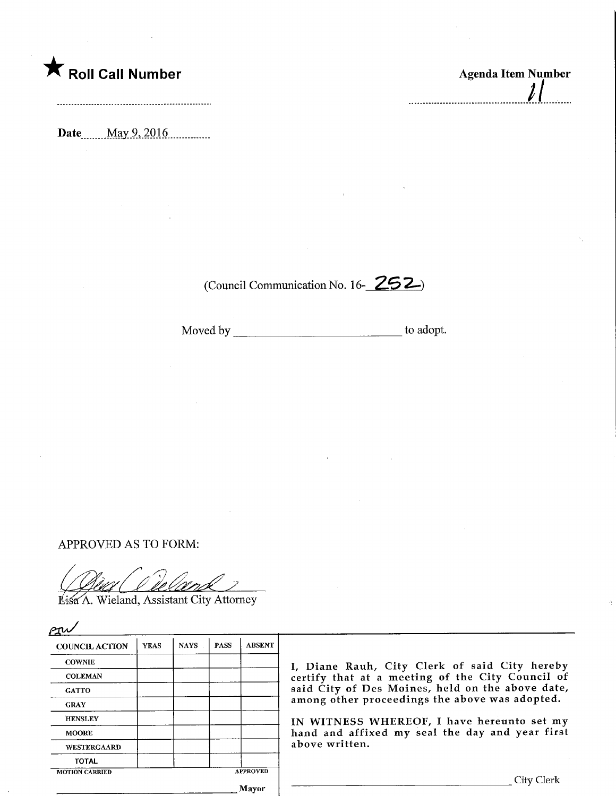

Date\_..\_May.9,.2Q16,

 $\iota$ l -----------------------------------

(Council Communication No. 16-252)

Moved by to adopt.

APPROVED AS TO FORM:

Lisa A. Wieland, Assistant City Attorney

| <b>COUNCIL ACTION</b> | <b>YEAS</b> | <b>NAYS</b> | <b>PASS</b> | <b>ABSENT</b>       |                                                                                                                                      |
|-----------------------|-------------|-------------|-------------|---------------------|--------------------------------------------------------------------------------------------------------------------------------------|
| <b>COWNIE</b>         |             |             |             | I, Diane Rauh, City |                                                                                                                                      |
| <b>COLEMAN</b>        |             |             |             |                     | certify that at a mee<br>said City of Des Moir<br>among other proceedi:<br>IN WITNESS WHERE<br>hand and affixed my<br>above written. |
| <b>GATTO</b>          |             |             |             |                     |                                                                                                                                      |
| <b>GRAY</b>           |             |             |             |                     |                                                                                                                                      |
| <b>HENSLEY</b>        |             |             |             |                     |                                                                                                                                      |
| <b>MOORE</b>          |             |             |             |                     |                                                                                                                                      |
| WESTERGAARD           |             |             |             |                     |                                                                                                                                      |
| <b>TOTAL</b>          |             |             |             |                     |                                                                                                                                      |
| <b>MOTION CARRIED</b> |             |             |             | <b>APPROVED</b>     |                                                                                                                                      |

I, Diane Rauh, City Clerk of said City hereby certify that at a meeting of the City Council of said City of Des Moines, held on the above date, ngs the above was adopted.

OF, I have hereunto set my seal the day and year first

. City Clerk